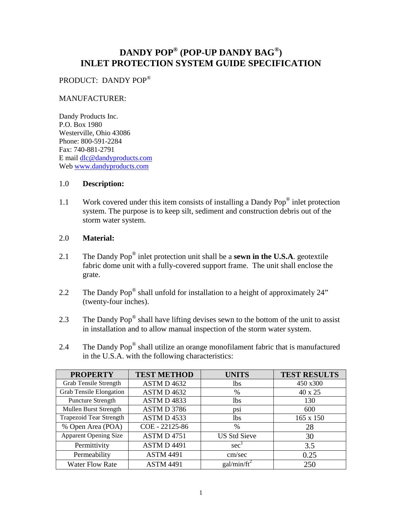# **DANDY POP® (POP-UP DANDY BAG®) INLET PROTECTION SYSTEM GUIDE SPECIFICATION**

# PRODUCT: DANDY POP®

# MANUFACTURER:

Dandy Products Inc. P.O. Box 1980 Westerville, Ohio 43086 Phone: 800-591-2284 Fax: 740-881-2791 E mail [dlc@dandyproducts.com](mailto:dlc@dandyproducts.com) Web [www.dandyproducts.com](http://www.dandyproducts.com/)

# 1.0 **Description:**

1.1 Work covered under this item consists of installing a Dandy Pop<sup>®</sup> inlet protection system. The purpose is to keep silt, sediment and construction debris out of the storm water system.

# 2.0 **Material:**

- 2.1 The Dandy Pop® inlet protection unit shall be a **sewn in the U.S.A**. geotextile fabric dome unit with a fully-covered support frame. The unit shall enclose the grate.
- 2.2 The Dandy Pop<sup>®</sup> shall unfold for installation to a height of approximately 24" (twenty-four inches).
- 2.3 The Dandy Pop<sup>®</sup> shall have lifting devises sewn to the bottom of the unit to assist in installation and to allow manual inspection of the storm water system.
- 2.4 The Dandy Pop<sup>®</sup> shall utilize an orange monofilament fabric that is manufactured in the U.S.A. with the following characteristics:

| <b>PROPERTY</b>                | <b>TEST METHOD</b> | <b>UNITS</b>            | <b>TEST RESULTS</b> |
|--------------------------------|--------------------|-------------------------|---------------------|
| Grab Tensile Strength          | ASTM D 4632        | <b>lbs</b>              | 450 x300            |
| <b>Grab Tensile Elongation</b> | ASTM D 4632        | %                       | 40 x 25             |
| <b>Puncture Strength</b>       | ASTM D4833         | <b>lbs</b>              | 130                 |
| Mullen Burst Strength          | ASTM D 3786        | DS1                     | 600                 |
| <b>Trapezoid Tear Strength</b> | ASTM D 4533        | <b>lbs</b>              | 165 x 150           |
| % Open Area (POA)              | COE - 22125-86     | $\%$                    | 28                  |
| <b>Apparent Opening Size</b>   | <b>ASTM D 4751</b> | <b>US Std Sieve</b>     | 30                  |
| Permittivity                   | <b>ASTM D 4491</b> | sec <sup>1</sup>        | 3.5                 |
| Permeability                   | <b>ASTM 4491</b>   | cm/sec                  | 0.25                |
| <b>Water Flow Rate</b>         | <b>ASTM 4491</b>   | gal/min/ft <sup>2</sup> | 250                 |